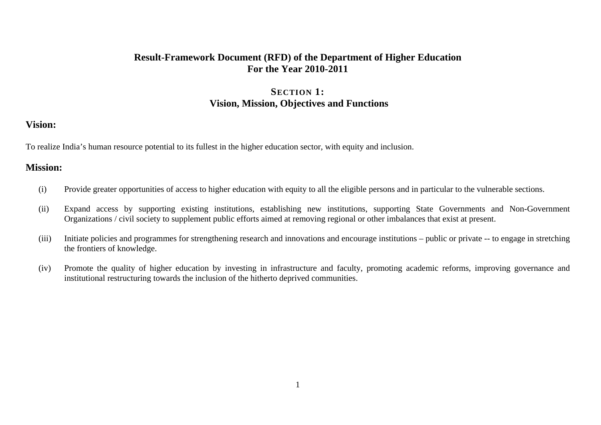## **Result-Framework Document (RFD) of the Department of Higher Education For the Year 2010-2011**

## **SECTION 1: Vision, Mission, Objectives and Functions**

### **Vision:**

To realize India's human resource potential to its fullest in the higher education sector, with equity and inclusion.

### **Mission:**

- (i) Provide greater opportunities of access to higher education with equity to all the eligible persons and in particular to the vulnerable sections.
- (ii) Expand access by supporting existing institutions, establishing new institutions, supporting State Governments and Non-Government Organizations / civil society to supplement public efforts aimed at removing regional or other imbalances that exist at present.
- (iii) Initiate policies and programmes for strengthening research and innovations and encourage institutions public or private -- to engage in stretching the frontiers of knowledge.
- (iv) Promote the quality of higher education by investing in infrastructure and faculty, promoting academic reforms, improving governance and institutional restructuring towards the inclusion of the hitherto deprived communities.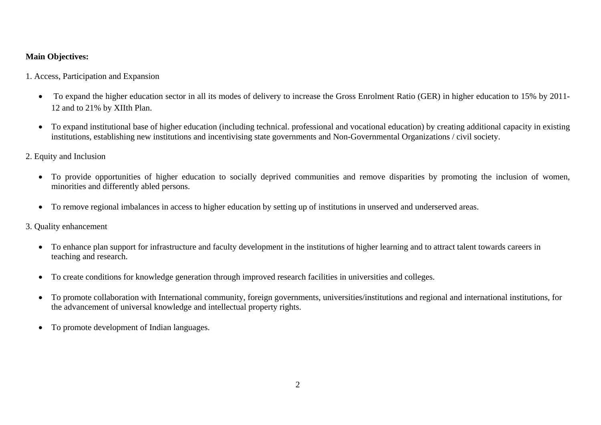### **Main Objectives:**

1. Access, Participation and Expansion

- To expand the higher education sector in all its modes of delivery to increase the Gross Enrolment Ratio (GER) in higher education to 15% by 2011- 12 and to 21% by XIIth Plan.
- To expand institutional base of higher education (including technical. professional and vocational education) by creating additional capacity in existing institutions, establishing new institutions and incentivising state governments and Non-Governmental Organizations / civil society.
- 2. Equity and Inclusion
	- To provide opportunities of higher education to socially deprived communities and remove disparities by promoting the inclusion of women, minorities and differently abled persons.
	- To remove regional imbalances in access to higher education by setting up of institutions in unserved and underserved areas.
- 3. Quality enhancement
	- To enhance plan support for infrastructure and faculty development in the institutions of higher learning and to attract talent towards careers in teaching and research.
	- To create conditions for knowledge generation through improved research facilities in universities and colleges.
	- To promote collaboration with International community, foreign governments, universities/institutions and regional and international institutions, for the advancement of universal knowledge and intellectual property rights.
	- To promote development of Indian languages.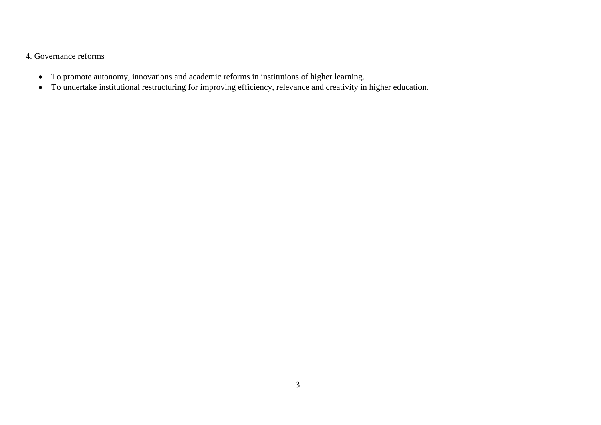#### 4. Governance reforms

- To promote autonomy, innovations and academic reforms in institutions of higher learning.
- To undertake institutional restructuring for improving efficiency, relevance and creativity in higher education.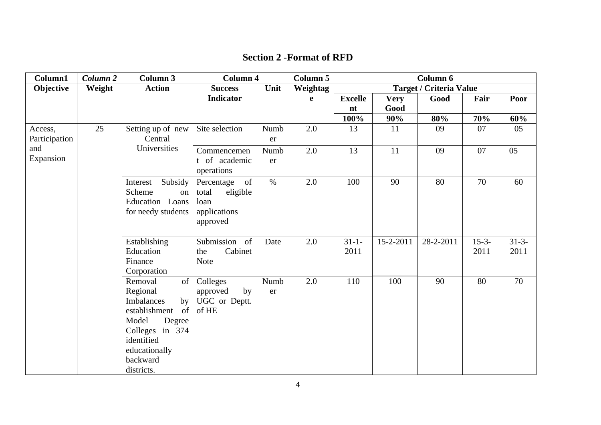| <b>Section 2 - Format of RFD</b> |
|----------------------------------|
|----------------------------------|

| Column1                  | Column <sub>2</sub> | <b>Column 3</b>                                                                                                                                                                      | <b>Column 4</b>                                                           |            | <b>Column 5</b> |                    |             | Column 6                       |                 |                 |
|--------------------------|---------------------|--------------------------------------------------------------------------------------------------------------------------------------------------------------------------------------|---------------------------------------------------------------------------|------------|-----------------|--------------------|-------------|--------------------------------|-----------------|-----------------|
| Objective                | Weight              | <b>Action</b>                                                                                                                                                                        | <b>Success</b>                                                            | Unit       | Weightag        |                    |             | <b>Target / Criteria Value</b> |                 |                 |
|                          |                     |                                                                                                                                                                                      | <b>Indicator</b>                                                          |            | e               | <b>Excelle</b>     | <b>Very</b> | Good                           | Fair            | Poor            |
|                          |                     |                                                                                                                                                                                      |                                                                           |            |                 | nt                 | Good        |                                |                 |                 |
|                          |                     |                                                                                                                                                                                      |                                                                           |            |                 | 100%               | 90%         | 80%                            | 70%             | 60%             |
| Access,<br>Participation | 25                  | Setting up of new<br>Central                                                                                                                                                         | Site selection                                                            | Numb<br>er | 2.0             | 13                 | 11          | 09                             | 07              | 05              |
| and<br>Expansion         |                     | Universities                                                                                                                                                                         | Commencemen<br>t of academic<br>operations                                | Numb<br>er | 2.0             | 13                 | 11          | 09                             | 07              | 05              |
|                          |                     | Subsidy<br>Interest<br>Scheme<br>on<br>Education Loans<br>for needy students                                                                                                         | of<br>Percentage<br>eligible<br>total<br>loan<br>applications<br>approved | $\%$       | 2.0             | 100                | 90          | 80                             | 70              | 60              |
|                          |                     | Establishing<br>Education<br>Finance<br>Corporation                                                                                                                                  | Submission of<br>Cabinet<br>the<br>Note                                   | Date       | 2.0             | $31 - 1 -$<br>2011 | 15-2-2011   | 28-2-2011                      | $15-3-$<br>2011 | $31-3-$<br>2011 |
|                          |                     | Removal<br>of<br>Regional<br><b>Imbalances</b><br>$\mathbf{b}$<br>of<br>establishment<br>Model<br>Degree<br>Colleges in 374<br>identified<br>educationally<br>backward<br>districts. | Colleges<br>approved<br>by<br>UGC or Deptt.<br>of HE                      | Numb<br>er | 2.0             | 110                | 100         | 90                             | 80              | 70              |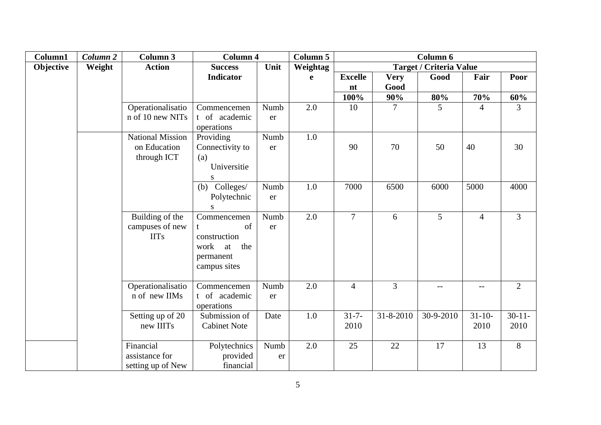| Column1   | Column 2 | Column 3                | <b>Column 4</b>           |      | <b>Column 5</b> | Column 6       |             |                                |                |                |
|-----------|----------|-------------------------|---------------------------|------|-----------------|----------------|-------------|--------------------------------|----------------|----------------|
| Objective | Weight   | <b>Action</b>           | <b>Success</b>            | Unit | <b>Weightag</b> |                |             | <b>Target / Criteria Value</b> |                |                |
|           |          |                         | <b>Indicator</b>          |      | $\mathbf e$     | <b>Excelle</b> | <b>Very</b> | Good                           | Fair           | Poor           |
|           |          |                         |                           |      |                 | nt             | Good        |                                |                |                |
|           |          |                         |                           |      |                 | 100%           | 90%         | 80%                            | 70%            | 60%            |
|           |          | Operationalisatio       | Commencemen               | Numb | 2.0             | 10             | 7           | 5                              | $\overline{4}$ | 3              |
|           |          | n of 10 new NITs        | t of academic             | er   |                 |                |             |                                |                |                |
|           |          |                         | operations                |      |                 |                |             |                                |                |                |
|           |          | <b>National Mission</b> | Providing                 | Numb | 1.0             |                |             |                                |                |                |
|           |          | on Education            | Connectivity to           | er   |                 | 90             | 70          | 50                             | 40             | 30             |
|           |          | through ICT             | (a)                       |      |                 |                |             |                                |                |                |
|           |          |                         | Universitie               |      |                 |                |             |                                |                |                |
|           |          |                         | S                         |      |                 |                |             |                                |                |                |
|           |          |                         | (b) Colleges/             | Numb | 1.0             | 7000           | 6500        | 6000                           | 5000           | 4000           |
|           |          |                         | Polytechnic               | er   |                 |                |             |                                |                |                |
|           |          |                         | ${\bf S}$                 |      |                 |                |             |                                |                |                |
|           |          | Building of the         | Commencemen               | Numb | 2.0             | $\overline{7}$ | 6           | 5                              | $\overline{4}$ | $\overline{3}$ |
|           |          | campuses of new         | of                        | er   |                 |                |             |                                |                |                |
|           |          | <b>IITs</b>             | construction<br>work      |      |                 |                |             |                                |                |                |
|           |          |                         | the<br>at                 |      |                 |                |             |                                |                |                |
|           |          |                         | permanent<br>campus sites |      |                 |                |             |                                |                |                |
|           |          |                         |                           |      |                 |                |             |                                |                |                |
|           |          | Operationalisatio       | Commencemen               | Numb | 2.0             | $\overline{4}$ | 3           | $-$                            | --             | $\overline{2}$ |
|           |          | n of new IIMs           | t of academic             | er   |                 |                |             |                                |                |                |
|           |          |                         | operations                |      |                 |                |             |                                |                |                |
|           |          | Setting up of 20        | Submission of             | Date | 1.0             | $31 - 7 -$     | 31-8-2010   | $\overline{30} - 9 - 2010$     | $31 - 10$      | $30-11-$       |
|           |          | new IIITs               | <b>Cabinet Note</b>       |      |                 | 2010           |             |                                | 2010           | 2010           |
|           |          |                         |                           |      |                 |                |             |                                |                |                |
|           |          | Financial               | Polytechnics              | Numb | 2.0             | 25             | 22          | 17                             | 13             | 8              |
|           |          | assistance for          | provided                  | er   |                 |                |             |                                |                |                |
|           |          | setting up of New       | financial                 |      |                 |                |             |                                |                |                |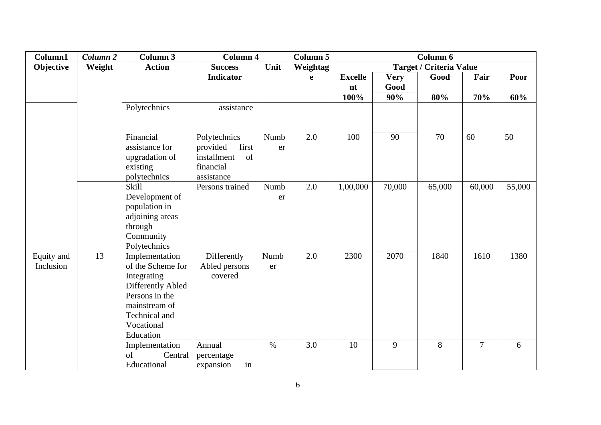| Column1    | Column <sub>2</sub> | Column 3                 | <b>Column 4</b>                        |      | <b>Column 5</b> | Column 6       |             |                                |                |        |
|------------|---------------------|--------------------------|----------------------------------------|------|-----------------|----------------|-------------|--------------------------------|----------------|--------|
| Objective  | Weight              | <b>Action</b>            | <b>Success</b>                         | Unit | Weightag        |                |             | <b>Target / Criteria Value</b> |                |        |
|            |                     |                          | Indicator                              |      | e               | <b>Excelle</b> | <b>Very</b> | Good                           | Fair           | Poor   |
|            |                     |                          |                                        |      |                 | nt             | Good        |                                |                |        |
|            |                     |                          |                                        |      |                 | 100%           | 90%         | 80%                            | 70%            | 60%    |
|            |                     | Polytechnics             | assistance                             |      |                 |                |             |                                |                |        |
|            |                     |                          |                                        |      |                 |                |             |                                |                |        |
|            |                     |                          |                                        |      |                 |                |             |                                |                |        |
|            |                     | Financial                | Polytechnics                           | Numb | 2.0             | 100            | 90          | 70                             | 60             | 50     |
|            |                     | assistance for           | provided<br>first<br>installment<br>of | er   |                 |                |             |                                |                |        |
|            |                     | upgradation of           | financial                              |      |                 |                |             |                                |                |        |
|            |                     | existing<br>polytechnics | assistance                             |      |                 |                |             |                                |                |        |
|            |                     | Skill                    | Persons trained                        | Numb | 2.0             | 1,00,000       | 70,000      | 65,000                         | 60,000         | 55,000 |
|            |                     | Development of           |                                        | er   |                 |                |             |                                |                |        |
|            |                     | population in            |                                        |      |                 |                |             |                                |                |        |
|            |                     | adjoining areas          |                                        |      |                 |                |             |                                |                |        |
|            |                     | through                  |                                        |      |                 |                |             |                                |                |        |
|            |                     | Community                |                                        |      |                 |                |             |                                |                |        |
|            |                     | Polytechnics             |                                        |      |                 |                |             |                                |                |        |
| Equity and | 13                  | Implementation           | Differently                            | Numb | 2.0             | 2300           | 2070        | 1840                           | 1610           | 1380   |
| Inclusion  |                     | of the Scheme for        | Abled persons                          | er   |                 |                |             |                                |                |        |
|            |                     | Integrating              | covered                                |      |                 |                |             |                                |                |        |
|            |                     | Differently Abled        |                                        |      |                 |                |             |                                |                |        |
|            |                     | Persons in the           |                                        |      |                 |                |             |                                |                |        |
|            |                     | mainstream of            |                                        |      |                 |                |             |                                |                |        |
|            |                     | Technical and            |                                        |      |                 |                |             |                                |                |        |
|            |                     | Vocational               |                                        |      |                 |                |             |                                |                |        |
|            |                     | Education                |                                        |      |                 |                |             |                                |                |        |
|            |                     | Implementation           | Annual                                 | $\%$ | 3.0             | 10             | 9           | 8                              | $\overline{7}$ | 6      |
|            |                     | of<br>Central            | percentage                             |      |                 |                |             |                                |                |        |
|            |                     | Educational              | expansion<br>in                        |      |                 |                |             |                                |                |        |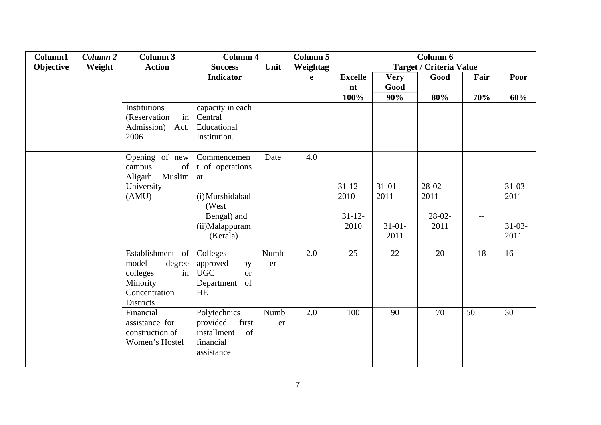| Column1   | Column <sub>2</sub> | <b>Column 3</b>                                                                                        | <b>Column 4</b>                                                                                               |            | Column 5 | Column 6                               |                                         |                                      |              |                                            |
|-----------|---------------------|--------------------------------------------------------------------------------------------------------|---------------------------------------------------------------------------------------------------------------|------------|----------|----------------------------------------|-----------------------------------------|--------------------------------------|--------------|--------------------------------------------|
| Objective | Weight              | <b>Action</b>                                                                                          | <b>Success</b>                                                                                                | Unit       | Weightag |                                        |                                         | <b>Target / Criteria Value</b>       |              |                                            |
|           |                     |                                                                                                        | <b>Indicator</b>                                                                                              |            | e        | <b>Excelle</b>                         | <b>Very</b>                             | Good                                 | Fair         | Poor                                       |
|           |                     |                                                                                                        |                                                                                                               |            |          | nt                                     | Good                                    |                                      |              |                                            |
|           |                     |                                                                                                        |                                                                                                               |            |          | 100%                                   | 90%                                     | 80%                                  | 70%          | 60%                                        |
|           |                     | Institutions<br>(Reservation<br>in<br>Admission)<br>Act,<br>2006                                       | capacity in each<br>Central<br>Educational<br>Institution.                                                    |            |          |                                        |                                         |                                      |              |                                            |
|           |                     | Opening of new<br>campus<br>of<br>Aligarh Muslim<br>University<br>(AMU)                                | Commencemen<br>t of operations<br>at<br>(i) Murshidabad<br>(West<br>Bengal) and<br>(ii)Malappuram<br>(Kerala) | Date       | 4.0      | $31 - 12$<br>2010<br>$31 - 12$<br>2010 | $31-01-$<br>2011<br>$31 - 01 -$<br>2011 | $28-02-$<br>2011<br>$28-02-$<br>2011 | $ -$<br>$--$ | $31 - 03 -$<br>2011<br>$31 - 03 -$<br>2011 |
|           |                     | Establishment of<br>model<br>degree<br>colleges<br>in<br>Minority<br>Concentration<br><b>Districts</b> | Colleges<br>approved<br>by<br><b>UGC</b><br><b>or</b><br>of<br>Department<br><b>HE</b>                        | Numb<br>er | 2.0      | 25                                     | 22                                      | 20                                   | 18           | 16                                         |
|           |                     | Financial<br>assistance for<br>construction of<br>Women's Hostel                                       | Polytechnics<br>provided<br>first<br>of<br>installment<br>financial<br>assistance                             | Numb<br>er | 2.0      | 100                                    | 90                                      | 70                                   | 50           | 30                                         |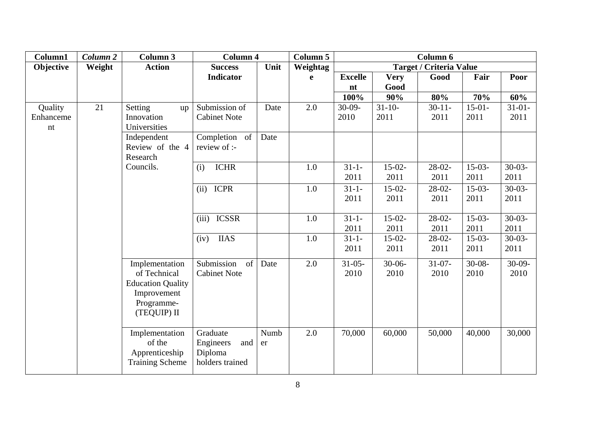| Column1                    | Column 2 | <b>Column 3</b>                                                                                        | <b>Column 4</b>                                            |            | Column 5 | Column 6            |                     |                                |                     |                     |
|----------------------------|----------|--------------------------------------------------------------------------------------------------------|------------------------------------------------------------|------------|----------|---------------------|---------------------|--------------------------------|---------------------|---------------------|
| Objective                  | Weight   | <b>Action</b>                                                                                          | <b>Success</b>                                             | Unit       | Weightag |                     |                     | <b>Target / Criteria Value</b> |                     |                     |
|                            |          |                                                                                                        | <b>Indicator</b>                                           |            | e        | <b>Excelle</b>      | <b>Very</b>         | Good                           | Fair                | Poor                |
|                            |          |                                                                                                        |                                                            |            |          | nt                  | Good                |                                |                     |                     |
|                            |          |                                                                                                        |                                                            |            |          | 100%                | 90%                 | 80%                            | 70%                 | 60%                 |
| Quality<br>Enhanceme<br>nt | 21       | Setting<br>up<br>Innovation<br>Universities                                                            | Submission of<br><b>Cabinet Note</b>                       | Date       | 2.0      | $30-09-$<br>2010    | $31 - 10 -$<br>2011 | $30 - 11 -$<br>2011            | $15-01-$<br>2011    | $31 - 01 -$<br>2011 |
|                            |          | Independent<br>Review of the 4<br>Research                                                             | Completion of<br>review of :-                              | Date       |          |                     |                     |                                |                     |                     |
|                            |          | Councils.                                                                                              | <b>ICHR</b><br>(i)                                         |            | 1.0      | $31 - 1 -$<br>2011  | $15-02-$<br>2011    | $28-02-$<br>2011               | $15-03-$<br>2011    | $30-03-$<br>2011    |
|                            |          |                                                                                                        | <b>ICPR</b><br>(ii)                                        |            | 1.0      | $31 - 1 -$<br>2011  | $15-02-$<br>2011    | $28-02-$<br>2011               | $15-03-$<br>2011    | $30-03-$<br>2011    |
|                            |          |                                                                                                        | <b>ICSSR</b><br>(iii)                                      |            | 1.0      | $31 - 1 -$<br>2011  | $15-02-$<br>2011    | $28-02-$<br>2011               | $15-03-$<br>2011    | $30-03-$<br>2011    |
|                            |          |                                                                                                        | <b>IIAS</b><br>(iv)                                        |            | 1.0      | $31 - 1 -$<br>2011  | $15-02-$<br>2011    | $28-02-$<br>2011               | $15-03-$<br>2011    | $30-03-$<br>2011    |
|                            |          | Implementation<br>of Technical<br><b>Education Quality</b><br>Improvement<br>Programme-<br>(TEQUIP) II | Submission<br>of<br><b>Cabinet Note</b>                    | Date       | 2.0      | $31 - 05 -$<br>2010 | $30 - 06 -$<br>2010 | $31-07-$<br>2010               | $30 - 08 -$<br>2010 | $30-09-$<br>2010    |
|                            |          | Implementation<br>of the<br>Apprenticeship<br><b>Training Scheme</b>                                   | Graduate<br>Engineers<br>and<br>Diploma<br>holders trained | Numb<br>er | 2.0      | 70,000              | 60,000              | 50,000                         | 40,000              | 30,000              |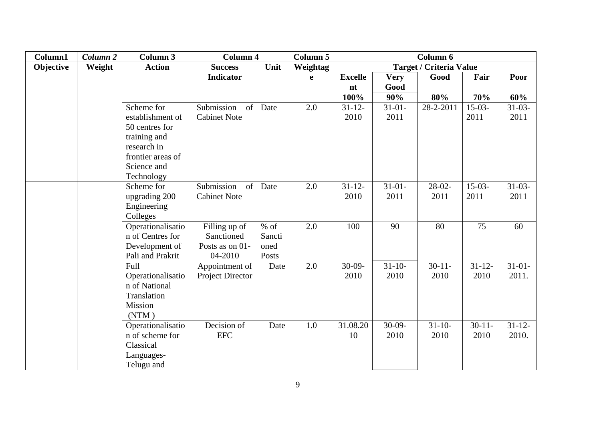| Column1   | Column 2 | Column 3                           | <b>Column 4</b>         |        | Column 5    | Column 6         |             |                                |             |             |
|-----------|----------|------------------------------------|-------------------------|--------|-------------|------------------|-------------|--------------------------------|-------------|-------------|
| Objective | Weight   | <b>Action</b>                      | <b>Success</b>          | Unit   | Weightag    |                  |             | <b>Target / Criteria Value</b> |             |             |
|           |          |                                    | <b>Indicator</b>        |        | $\mathbf e$ | <b>Excelle</b>   | <b>Very</b> | Good                           | Fair        | Poor        |
|           |          |                                    |                         |        |             | nt               | Good        |                                |             |             |
|           |          |                                    |                         |        |             | 100%             | 90%         | 80%                            | 70%         | 60%         |
|           |          | Scheme for                         | Submission<br>of        | Date   | 2.0         | $31 - 12 -$      | $31 - 01 -$ | 28-2-2011                      | $15-03-$    | $31-03-$    |
|           |          | establishment of                   | <b>Cabinet Note</b>     |        |             | 2010             | 2011        |                                | 2011        | 2011        |
|           |          | 50 centres for                     |                         |        |             |                  |             |                                |             |             |
|           |          | training and                       |                         |        |             |                  |             |                                |             |             |
|           |          | research in                        |                         |        |             |                  |             |                                |             |             |
|           |          | frontier areas of                  |                         |        |             |                  |             |                                |             |             |
|           |          | Science and                        |                         |        |             |                  |             |                                |             |             |
|           |          | Technology                         |                         |        |             |                  |             |                                |             |             |
|           |          | Scheme for                         | Submission<br>of        | Date   | 2.0         | $31 - 12 -$      | $31 - 01 -$ | $28-02-$                       | $15-03-$    | $31-03-$    |
|           |          | upgrading 200                      | <b>Cabinet Note</b>     |        |             | 2010             | 2011        | 2011                           | 2011        | 2011        |
|           |          | Engineering                        |                         |        |             |                  |             |                                |             |             |
|           |          | Colleges                           |                         |        |             |                  |             |                                |             |             |
|           |          | Operationalisatio                  | Filling up of           | $%$ of | 2.0         | 100              | 90          | 80                             | 75          | 60          |
|           |          | n of Centres for                   | Sanctioned              | Sancti |             |                  |             |                                |             |             |
|           |          | Development of                     | Posts as on 01-         | oned   |             |                  |             |                                |             |             |
|           |          | Pali and Prakrit                   | 04-2010                 | Posts  |             |                  | $31 - 10$   | $30 - 11$                      |             |             |
|           |          | Full                               | Appointment of          | Date   | 2.0         | $30-09-$<br>2010 | 2010        |                                | $31 - 12 -$ | $31 - 01 -$ |
|           |          | Operationalisatio<br>n of National | <b>Project Director</b> |        |             |                  |             | 2010                           | 2010        | 2011.       |
|           |          | Translation                        |                         |        |             |                  |             |                                |             |             |
|           |          | Mission                            |                         |        |             |                  |             |                                |             |             |
|           |          | (NTM)                              |                         |        |             |                  |             |                                |             |             |
|           |          | Operationalisatio                  | Decision of             | Date   | 1.0         | 31.08.20         | $30-09-$    | $31 - 10$                      | $30 - 11 -$ | $31 - 12$   |
|           |          | n of scheme for                    | <b>EFC</b>              |        |             | 10               | 2010        | 2010                           | 2010        | 2010.       |
|           |          | Classical                          |                         |        |             |                  |             |                                |             |             |
|           |          | Languages-                         |                         |        |             |                  |             |                                |             |             |
|           |          | Telugu and                         |                         |        |             |                  |             |                                |             |             |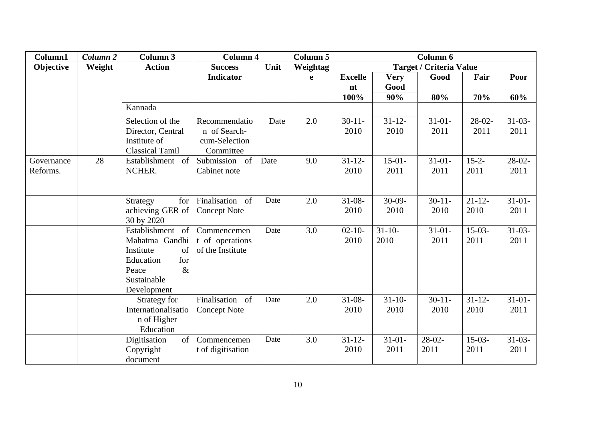| Column1    | Column 2 | Column 3                   | <b>Column 4</b>     |      | <b>Column 5</b> | Column 6       |             |                                |            |             |
|------------|----------|----------------------------|---------------------|------|-----------------|----------------|-------------|--------------------------------|------------|-------------|
| Objective  | Weight   | <b>Action</b>              | <b>Success</b>      | Unit | Weightag        |                |             | <b>Target / Criteria Value</b> |            |             |
|            |          |                            | <b>Indicator</b>    |      | e               | <b>Excelle</b> | <b>Very</b> | Good                           | Fair       | Poor        |
|            |          |                            |                     |      |                 | nt             | Good        |                                |            |             |
|            |          |                            |                     |      |                 | 100%           | 90%         | 80%                            | 70%        | 60%         |
|            |          | Kannada                    |                     |      |                 |                |             |                                |            |             |
|            |          | Selection of the           | Recommendatio       | Date | 2.0             | $30 - 11$      | $31 - 12$   | $31 - 01 -$                    | $28-02-$   | $31-03-$    |
|            |          | Director, Central          | n of Search-        |      |                 | 2010           | 2010        | 2011                           | 2011       | 2011        |
|            |          | Institute of               | cum-Selection       |      |                 |                |             |                                |            |             |
|            |          | <b>Classical Tamil</b>     | Committee           |      |                 |                |             |                                |            |             |
| Governance | 28       | Establishment<br>of        | Submission of       | Date | 9.0             | $31 - 12$      | $15-01-$    | $31 - 01 -$                    | $15 - 2 -$ | $28-02-$    |
| Reforms.   |          | NCHER.                     | Cabinet note        |      |                 | 2010           | 2011        | 2011                           | 2011       | 2011        |
|            |          |                            |                     |      |                 |                |             |                                |            |             |
|            |          | for<br>Strategy            | Finalisation of     | Date | 2.0             | $31 - 08 -$    | $30-09-$    | $30-11-$                       | $21 - 12$  | $31-01-$    |
|            |          | achieving GER of           | <b>Concept Note</b> |      |                 | 2010           | 2010        | 2010                           | 2010       | 2011        |
|            |          | 30 by 2020                 |                     |      |                 |                |             |                                |            |             |
|            |          | Establishment<br>of        | Commencemen         | Date | 3.0             | $02 - 10 -$    | $31 - 10$   | $31 - 01 -$                    | $15-03-$   | $31-03-$    |
|            |          | Mahatma Gandhi             | t of operations     |      |                 | 2010           | 2010        | 2011                           | 2011       | 2011        |
|            |          | Institute<br>of            | of the Institute    |      |                 |                |             |                                |            |             |
|            |          | for<br>Education           |                     |      |                 |                |             |                                |            |             |
|            |          | $\&$<br>Peace              |                     |      |                 |                |             |                                |            |             |
|            |          | Sustainable                |                     |      |                 |                |             |                                |            |             |
|            |          | Development                |                     |      |                 |                |             |                                |            |             |
|            |          | Strategy for               | Finalisation of     | Date | 2.0             | $31 - 08 -$    | $31 - 10$   | $30-11-$                       | $31 - 12$  | $31 - 01 -$ |
|            |          | Internationalisatio        | <b>Concept Note</b> |      |                 | 2010           | 2010        | 2010                           | 2010       | 2011        |
|            |          | n of Higher                |                     |      |                 |                |             |                                |            |             |
|            |          | Education                  |                     |      |                 |                |             |                                |            |             |
|            |          | $\sigma$ f<br>Digitisation | Commencemen         | Date | 3.0             | $31 - 12$      | $31 - 01 -$ | $28-02-$                       | $15-03-$   | $31-03-$    |
|            |          | Copyright                  | t of digitisation   |      |                 | 2010           | 2011        | 2011                           | 2011       | 2011        |
|            |          | document                   |                     |      |                 |                |             |                                |            |             |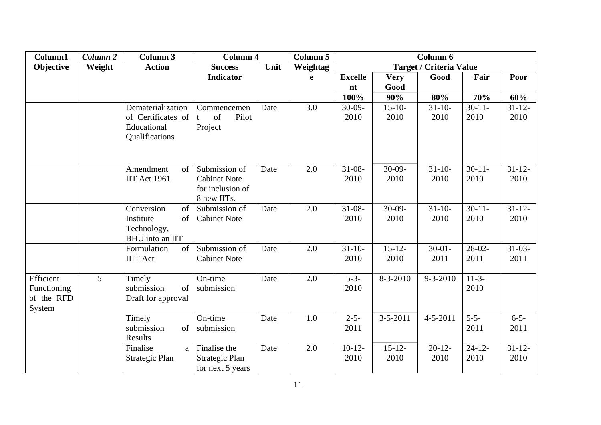| Column1                                          | Column <sub>2</sub> | Column 3                                                                 | <b>Column 4</b>                                                         |      | Column 5 | Column 6            |                     |                                |                   |                     |
|--------------------------------------------------|---------------------|--------------------------------------------------------------------------|-------------------------------------------------------------------------|------|----------|---------------------|---------------------|--------------------------------|-------------------|---------------------|
| Objective                                        | Weight              | <b>Action</b>                                                            | <b>Success</b>                                                          | Unit | Weightag |                     |                     | <b>Target / Criteria Value</b> |                   |                     |
|                                                  |                     |                                                                          | <b>Indicator</b>                                                        |      | e        | <b>Excelle</b>      | <b>Very</b>         | Good                           | Fair              | Poor                |
|                                                  |                     |                                                                          |                                                                         |      |          | nt                  | Good                |                                |                   |                     |
|                                                  |                     |                                                                          |                                                                         |      |          | 100%                | 90%                 | 80%                            | 70%               | 60%                 |
|                                                  |                     | Dematerialization<br>of Certificates of<br>Educational<br>Qualifications | Commencemen<br>Pilot<br>of<br>t<br>Project                              | Date | 3.0      | $30-09-$<br>2010    | $15 - 10 -$<br>2010 | $31 - 10$<br>2010              | $30 - 11$<br>2010 | $31 - 12 -$<br>2010 |
|                                                  |                     | Amendment<br>of<br><b>IIT Act 1961</b>                                   | Submission of<br><b>Cabinet Note</b><br>for inclusion of<br>8 new IITs. | Date | 2.0      | $31 - 08 -$<br>2010 | $30-09-$<br>2010    | $31 - 10$<br>2010              | $30 - 11$<br>2010 | $31 - 12$<br>2010   |
|                                                  |                     | Conversion<br>of<br>Institute<br>of<br>Technology,<br>BHU into an IIT    | Submission of<br><b>Cabinet Note</b>                                    | Date | 2.0      | $31 - 08 -$<br>2010 | $30-09-$<br>2010    | $31 - 10$<br>2010              | $30-11-$<br>2010  | $31 - 12$<br>2010   |
|                                                  |                     | Formulation<br>of<br><b>IIIT</b> Act                                     | Submission of<br><b>Cabinet Note</b>                                    | Date | 2.0      | $31 - 10$<br>2010   | $15 - 12$<br>2010   | $30-01-$<br>2011               | $28-02-$<br>2011  | $31-03-$<br>2011    |
| Efficient<br>Functioning<br>of the RFD<br>System | 5                   | Timely<br>submission<br>of<br>Draft for approval                         | On-time<br>submission                                                   | Date | 2.0      | $5 - 3 -$<br>2010   | 8-3-2010            | $9 - 3 - 2010$                 | $11-3-$<br>2010   |                     |
|                                                  |                     | Timely<br>submission<br>of<br>Results                                    | On-time<br>submission                                                   | Date | 1.0      | $2 - 5 -$<br>2011   | $3 - 5 - 2011$      | $4 - 5 - 2011$                 | $5 - 5 -$<br>2011 | $6 - 5 -$<br>2011   |
|                                                  |                     | Finalise<br>a<br>Strategic Plan                                          | Finalise the<br>Strategic Plan<br>for next 5 years                      | Date | 2.0      | $10-12-$<br>2010    | $15 - 12$<br>2010   | $20-12-$<br>2010               | $24 - 12$<br>2010 | $31 - 12$<br>2010   |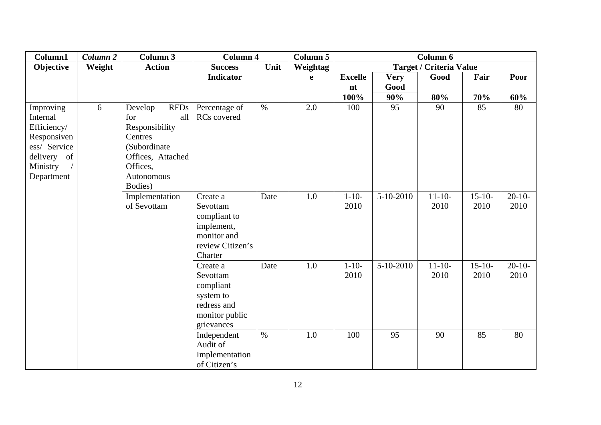| Column1                                                                                                      | Column <sub>2</sub> | Column 3                                                                                                                         | <b>Column 4</b>                                                                                  |      | <b>Column 5</b> | Column 6           |             |                                |                   |                  |
|--------------------------------------------------------------------------------------------------------------|---------------------|----------------------------------------------------------------------------------------------------------------------------------|--------------------------------------------------------------------------------------------------|------|-----------------|--------------------|-------------|--------------------------------|-------------------|------------------|
| Objective                                                                                                    | Weight              | <b>Action</b>                                                                                                                    | <b>Success</b>                                                                                   | Unit | Weightag        |                    |             | <b>Target / Criteria Value</b> |                   |                  |
|                                                                                                              |                     |                                                                                                                                  | Indicator                                                                                        |      | e               | <b>Excelle</b>     | <b>Very</b> | Good                           | Fair              | Poor             |
|                                                                                                              |                     |                                                                                                                                  |                                                                                                  |      |                 | nt                 | Good        |                                |                   |                  |
|                                                                                                              |                     |                                                                                                                                  |                                                                                                  |      |                 | 100%               | 90%         | 80%                            | 70%               | 60%              |
| Improving<br>Internal<br>Efficiency/<br>Responsiven<br>ess/ Service<br>delivery of<br>Ministry<br>Department | 6                   | <b>RFDs</b><br>Develop<br>all<br>for<br>Responsibility<br>Centres<br>(Subordinate<br>Offices, Attached<br>Offices,<br>Autonomous | Percentage of<br>RCs covered                                                                     | $\%$ | 2.0             | 100                | 95          | 90                             | 85                | 80               |
|                                                                                                              |                     | Bodies)<br>Implementation<br>of Sevottam                                                                                         | Create a<br>Sevottam<br>compliant to<br>implement,<br>monitor and<br>review Citizen's<br>Charter | Date | 1.0             | $1 - 10 -$<br>2010 | $5-10-2010$ | $11-10-$<br>2010               | $15 - 10$<br>2010 | $20-10-$<br>2010 |
|                                                                                                              |                     |                                                                                                                                  | Create a<br>Sevottam<br>compliant<br>system to<br>redress and<br>monitor public<br>grievances    | Date | 1.0             | $1 - 10 -$<br>2010 | $5-10-2010$ | $11-10-$<br>2010               | $15-10-$<br>2010  | $20-10-$<br>2010 |
|                                                                                                              |                     |                                                                                                                                  | Independent<br>Audit of<br>Implementation<br>of Citizen's                                        | $\%$ | 1.0             | 100                | 95          | 90                             | 85                | 80               |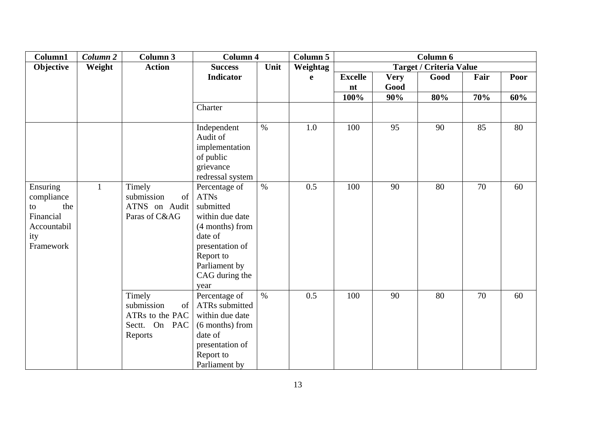| Column1     | Column <sub>2</sub> | <b>Column 3</b>  | <b>Column 4</b>         |      | Column 5 | Column 6       |             |                                |      |      |
|-------------|---------------------|------------------|-------------------------|------|----------|----------------|-------------|--------------------------------|------|------|
| Objective   | Weight              | <b>Action</b>    | <b>Success</b>          | Unit | Weightag |                |             | <b>Target / Criteria Value</b> |      |      |
|             |                     |                  | <b>Indicator</b>        |      | e        | <b>Excelle</b> | <b>Very</b> | Good                           | Fair | Poor |
|             |                     |                  |                         |      |          | nt             | Good        |                                |      |      |
|             |                     |                  |                         |      |          | 100%           | 90%         | 80%                            | 70%  | 60%  |
|             |                     |                  | Charter                 |      |          |                |             |                                |      |      |
|             |                     |                  |                         |      |          |                |             |                                |      |      |
|             |                     |                  | Independent<br>Audit of | $\%$ | $1.0\,$  | 100            | 95          | 90                             | 85   | 80   |
|             |                     |                  |                         |      |          |                |             |                                |      |      |
|             |                     |                  | implementation          |      |          |                |             |                                |      |      |
|             |                     |                  | of public               |      |          |                |             |                                |      |      |
|             |                     |                  | grievance               |      |          |                |             |                                |      |      |
|             |                     |                  | redressal system        |      |          |                |             |                                |      |      |
| Ensuring    | $\mathbf{1}$        | Timely           | Percentage of           | $\%$ | 0.5      | 100            | 90          | 80                             | 70   | 60   |
| compliance  |                     | submission<br>of | <b>ATNs</b>             |      |          |                |             |                                |      |      |
| the<br>to   |                     | ATNS on Audit    | submitted               |      |          |                |             |                                |      |      |
| Financial   |                     | Paras of C&AG    | within due date         |      |          |                |             |                                |      |      |
| Accountabil |                     |                  | (4 months) from         |      |          |                |             |                                |      |      |
| ity         |                     |                  | date of                 |      |          |                |             |                                |      |      |
| Framework   |                     |                  | presentation of         |      |          |                |             |                                |      |      |
|             |                     |                  | Report to               |      |          |                |             |                                |      |      |
|             |                     |                  | Parliament by           |      |          |                |             |                                |      |      |
|             |                     |                  | CAG during the          |      |          |                |             |                                |      |      |
|             |                     |                  | year                    |      |          |                |             |                                |      |      |
|             |                     | Timely           | Percentage of           | $\%$ | 0.5      | 100            | 90          | 80                             | 70   | 60   |
|             |                     | submission<br>of | ATRs submitted          |      |          |                |             |                                |      |      |
|             |                     | ATRs to the PAC  | within due date         |      |          |                |             |                                |      |      |
|             |                     | Sectt. On PAC    | (6 months) from         |      |          |                |             |                                |      |      |
|             |                     | Reports          | date of                 |      |          |                |             |                                |      |      |
|             |                     |                  | presentation of         |      |          |                |             |                                |      |      |
|             |                     |                  | Report to               |      |          |                |             |                                |      |      |
|             |                     |                  | Parliament by           |      |          |                |             |                                |      |      |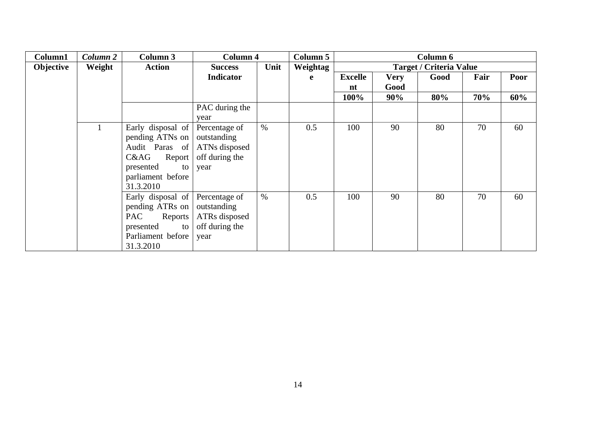| Column1   | Column 2 | Column 3          | Column 4         |      | <b>Column 5</b> | Column 6       |             |                                |      |      |
|-----------|----------|-------------------|------------------|------|-----------------|----------------|-------------|--------------------------------|------|------|
| Objective | Weight   | <b>Action</b>     | <b>Success</b>   | Unit | Weightag        |                |             | <b>Target / Criteria Value</b> |      |      |
|           |          |                   | <b>Indicator</b> |      | e               | <b>Excelle</b> | <b>Very</b> | Good                           | Fair | Poor |
|           |          |                   |                  |      |                 | nt             | Good        |                                |      |      |
|           |          |                   |                  |      |                 | 100%           | 90%         | 80%                            | 70%  | 60%  |
|           |          |                   | PAC during the   |      |                 |                |             |                                |      |      |
|           |          |                   | year             |      |                 |                |             |                                |      |      |
|           |          | Early disposal of | Percentage of    | $\%$ | 0.5             | 100            | 90          | 80                             | 70   | 60   |
|           |          | pending ATNs on   | outstanding      |      |                 |                |             |                                |      |      |
|           |          | Audit Paras of    | ATNs disposed    |      |                 |                |             |                                |      |      |
|           |          | C&AG<br>Report    | off during the   |      |                 |                |             |                                |      |      |
|           |          | presented<br>to   | year             |      |                 |                |             |                                |      |      |
|           |          | parliament before |                  |      |                 |                |             |                                |      |      |
|           |          | 31.3.2010         |                  |      |                 |                |             |                                |      |      |
|           |          | Early disposal of | Percentage of    | $\%$ | 0.5             | 100            | 90          | 80                             | 70   | 60   |
|           |          | pending ATRs on   | outstanding      |      |                 |                |             |                                |      |      |
|           |          | PAC<br>Reports    | ATRs disposed    |      |                 |                |             |                                |      |      |
|           |          | presented<br>to   | off during the   |      |                 |                |             |                                |      |      |
|           |          | Parliament before | year             |      |                 |                |             |                                |      |      |
|           |          | 31.3.2010         |                  |      |                 |                |             |                                |      |      |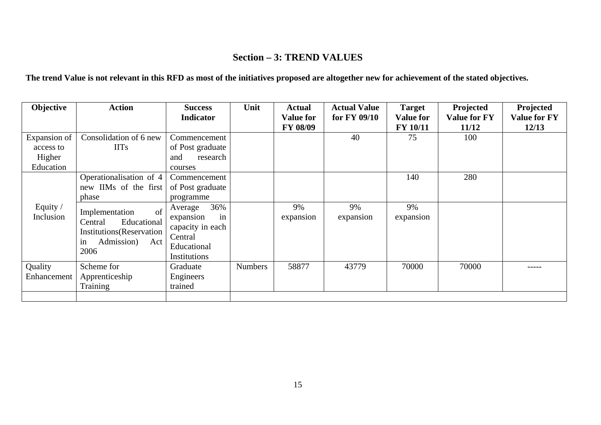# **Section – 3: TREND VALUES**

## **The trend Value is not relevant in this RFD as most of the initiatives proposed are altogether new for achievement of the stated objectives.**

| Objective                                        | <b>Action</b>                                                                                                 | <b>Success</b><br><b>Indicator</b>                                                              | Unit           | <b>Actual</b><br><b>Value for</b><br><b>FY 08/09</b> | <b>Actual Value</b><br>for FY 09/10 | <b>Target</b><br><b>Value for</b><br>FY 10/11 | Projected<br><b>Value for FY</b><br>11/12 | Projected<br><b>Value for FY</b><br>12/13 |
|--------------------------------------------------|---------------------------------------------------------------------------------------------------------------|-------------------------------------------------------------------------------------------------|----------------|------------------------------------------------------|-------------------------------------|-----------------------------------------------|-------------------------------------------|-------------------------------------------|
| Expansion of<br>access to<br>Higher<br>Education | Consolidation of 6 new<br><b>IITs</b>                                                                         | Commencement<br>of Post graduate<br>research<br>and<br>courses                                  |                |                                                      | 40                                  | 75                                            | 100                                       |                                           |
|                                                  | Operationalisation of 4<br>new IIMs of the first<br>phase                                                     | Commencement<br>of Post graduate<br>programme                                                   |                |                                                      |                                     | 140                                           | 280                                       |                                           |
| Equity /<br>Inclusion                            | of<br>Implementation<br>Educational<br>Central<br>Institutions(Reservation<br>Admission)<br>Act<br>in<br>2006 | 36%<br>Average<br>expansion<br>in<br>capacity in each<br>Central<br>Educational<br>Institutions |                | 9%<br>expansion                                      | 9%<br>expansion                     | 9%<br>expansion                               |                                           |                                           |
| Quality<br>Enhancement                           | Scheme for<br>Apprenticeship<br>Training                                                                      | Graduate<br>Engineers<br>trained                                                                | <b>Numbers</b> | 58877                                                | 43779                               | 70000                                         | 70000                                     | -----                                     |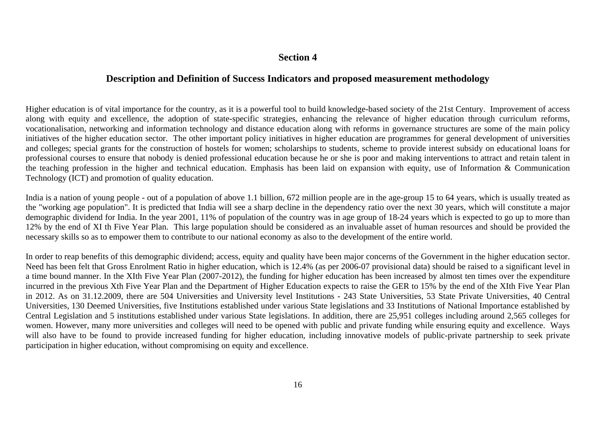### **Section 4**

### **Description and Definition of Success Indicators and proposed measurement methodology**

Higher education is of vital importance for the country, as it is a powerful tool to build knowledge-based society of the 21st Century. Improvement of access along with equity and excellence, the adoption of state-specific strategies, enhancing the relevance of higher education through curriculum reforms, vocationalisation, networking and information technology and distance education along with reforms in governance structures are some of the main policy initiatives of the higher education sector. The other important policy initiatives in higher education are programmes for general development of universities and colleges; special grants for the construction of hostels for women; scholarships to students, scheme to provide interest subsidy on educational loans for professional courses to ensure that nobody is denied professional education because he or she is poor and making interventions to attract and retain talent in the teaching profession in the higher and technical education. Emphasis has been laid on expansion with equity, use of Information & Communication Technology (ICT) and promotion of quality education.

India is a nation of young people - out of a population of above 1.1 billion, 672 million people are in the age-group 15 to 64 years, which is usually treated as the "working age population". It is predicted that India will see a sharp decline in the dependency ratio over the next 30 years, which will constitute a major demographic dividend for India. In the year 2001, 11% of population of the country was in age group of 18-24 years which is expected to go up to more than 12% by the end of XI th Five Year Plan. This large population should be considered as an invaluable asset of human resources and should be provided the necessary skills so as to empower them to contribute to our national economy as also to the development of the entire world.

In order to reap benefits of this demographic dividend; access, equity and quality have been major concerns of the Government in the higher education sector. Need has been felt that Gross Enrolment Ratio in higher education, which is 12.4% (as per 2006-07 provisional data) should be raised to a significant level in a time bound manner. In the XIth Five Year Plan (2007-2012), the funding for higher education has been increased by almost ten times over the expenditure incurred in the previous Xth Five Year Plan and the Department of Higher Education expects to raise the GER to 15% by the end of the XIth Five Year Plan in 2012. As on 31.12.2009, there are 504 Universities and University level Institutions - 243 State Universities, 53 State Private Universities, 40 Central Universities, 130 Deemed Universities, five Institutions established under various State legislations and 33 Institutions of National Importance established by Central Legislation and 5 institutions established under various State legislations. In addition, there are 25,951 colleges including around 2,565 colleges for women. However, many more universities and colleges will need to be opened with public and private funding while ensuring equity and excellence. Ways will also have to be found to provide increased funding for higher education, including innovative models of public-private partnership to seek private participation in higher education, without compromising on equity and excellence.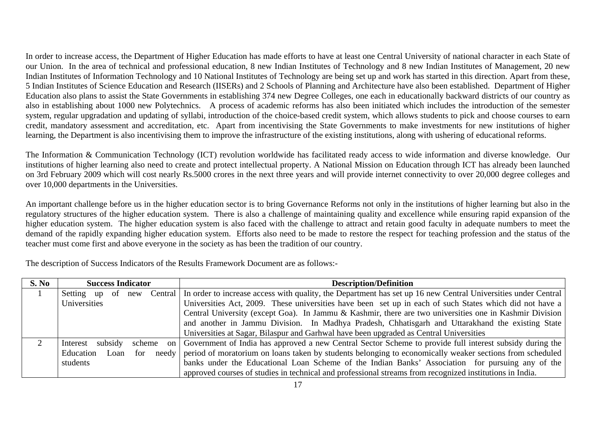In order to increase access, the Department of Higher Education has made efforts to have at least one Central University of national character in each State of our Union. In the area of technical and professional education, 8 new Indian Institutes of Technology and 8 new Indian Institutes of Management, 20 new Indian Institutes of Information Technology and 10 National Institutes of Technology are being set up and work has started in this direction. Apart from these, 5 Indian Institutes of Science Education and Research (IISERs) and 2 Schools of Planning and Architecture have also been established. Department of Higher Education also plans to assist the State Governments in establishing 374 new Degree Colleges, one each in educationally backward districts of our country as also in establishing about 1000 new Polytechnics. A process of academic reforms has also been initiated which includes the introduction of the semester system, regular upgradation and updating of syllabi, introduction of the choice-based credit system, which allows students to pick and choose courses to earn credit, mandatory assessment and accreditation, etc. Apart from incentivising the State Governments to make investments for new institutions of higher learning, the Department is also incentivising them to improve the infrastructure of the existing institutions, along with ushering of educational reforms.

The Information & Communication Technology (ICT) revolution worldwide has facilitated ready access to wide information and diverse knowledge. Our institutions of higher learning also need to create and protect intellectual property. A National Mission on Education through ICT has already been launched on 3rd February 2009 which will cost nearly Rs.5000 crores in the next three years and will provide internet connectivity to over 20,000 degree colleges and over 10,000 departments in the Universities.

An important challenge before us in the higher education sector is to bring Governance Reforms not only in the institutions of higher learning but also in the regulatory structures of the higher education system. There is also a challenge of maintaining quality and excellence while ensuring rapid expansion of the higher education system. The higher education system is also faced with the challenge to attract and retain good faculty in adequate numbers to meet the demand of the rapidly expanding higher education system. Efforts also need to be made to restore the respect for teaching profession and the status of the teacher must come first and above everyone in the society as has been the tradition of our country.

The description of Success Indicators of the Results Framework Document are as follows:-

| S. No | <b>Success Indicator</b>   |        |       | <b>Description/Definition</b>                                                                                           |
|-------|----------------------------|--------|-------|-------------------------------------------------------------------------------------------------------------------------|
|       | of<br>Setting<br>up<br>new |        |       | Central   In order to increase access with quality, the Department has set up 16 new Central Universities under Central |
|       | Universities               |        |       | Universities Act, 2009. These universities have been set up in each of such States which did not have a                 |
|       |                            |        |       | Central University (except Goa). In Jammu & Kashmir, there are two universities one in Kashmir Division                 |
|       |                            |        |       | and another in Jammu Division. In Madhya Pradesh, Chhatisgarh and Uttarakhand the existing State                        |
|       |                            |        |       | Universities at Sagar, Bilaspur and Garhwal have been upgraded as Central Universities                                  |
|       | subsidy<br>Interest        | scheme | on    | Government of India has approved a new Central Sector Scheme to provide full interest subsidy during the                |
|       | Education<br>Loan          | for    | needv | period of moratorium on loans taken by students belonging to economically weaker sections from scheduled                |
|       | students                   |        |       | banks under the Educational Loan Scheme of the Indian Banks' Association for pursuing any of the                        |
|       |                            |        |       | approved courses of studies in technical and professional streams from recognized institutions in India.                |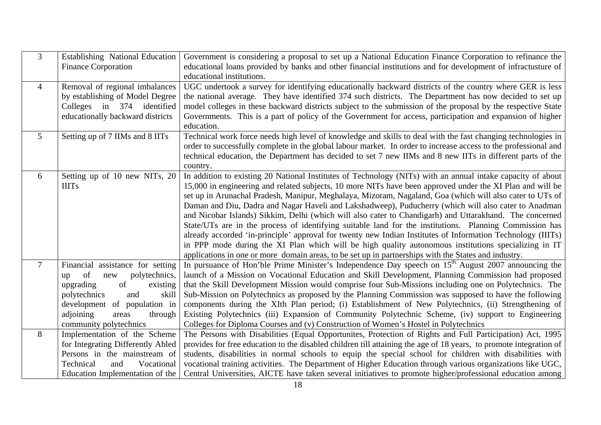| $\overline{3}$  | <b>Establishing National Education</b><br><b>Finance Corporation</b>                                                                                                                                                           | Government is considering a proposal to set up a National Education Finance Corporation to refinance the<br>educational loans provided by banks and other financial institutions and for development of infractusture of<br>educational institutions.                                                                                                                                                                                                                                                                                                                                                                                                                                                                                                                                                                                                                                                                                                                                             |
|-----------------|--------------------------------------------------------------------------------------------------------------------------------------------------------------------------------------------------------------------------------|---------------------------------------------------------------------------------------------------------------------------------------------------------------------------------------------------------------------------------------------------------------------------------------------------------------------------------------------------------------------------------------------------------------------------------------------------------------------------------------------------------------------------------------------------------------------------------------------------------------------------------------------------------------------------------------------------------------------------------------------------------------------------------------------------------------------------------------------------------------------------------------------------------------------------------------------------------------------------------------------------|
| $\overline{4}$  | Removal of regional imbalances<br>by establishing of Model Degree<br>Colleges in 374 identified<br>educationally backward districts                                                                                            | UGC undertook a survey for identifying educationally backward districts of the country where GER is less<br>the national average. They have identified 374 such districts. The Department has now decided to set up<br>model colleges in these backward districts subject to the submission of the proposal by the respective State<br>Governments. This is a part of policy of the Government for access, participation and expansion of higher<br>education.                                                                                                                                                                                                                                                                                                                                                                                                                                                                                                                                    |
| $5\overline{)}$ | Setting up of 7 IIMs and 8 IITs                                                                                                                                                                                                | Technical work force needs high level of knowledge and skills to deal with the fast changing technologies in<br>order to successfully complete in the global labour market. In order to increase access to the professional and<br>technical education, the Department has decided to set 7 new IIMs and 8 new IITs in different parts of the<br>country.                                                                                                                                                                                                                                                                                                                                                                                                                                                                                                                                                                                                                                         |
| 6               | Setting up of 10 new NITs, $20$<br><b>IIITs</b>                                                                                                                                                                                | In addition to existing 20 National Institutes of Technology (NITs) with an annual intake capacity of about<br>15,000 in engineering and related subjects, 10 more NITs have been approved under the XI Plan and will be<br>set up in Arunachal Pradesh, Manipur, Meghalaya, Mizoram, Nagaland, Goa (which will also cater to UTs of<br>Daman and Diu, Dadra and Nagar Haveli and Lakshadweep), Puducherry (which will also cater to Anadman<br>and Nicobar Islands) Sikkim, Delhi (which will also cater to Chandigarh) and Uttarakhand. The concerned<br>State/UTs are in the process of identifying suitable land for the institutions. Planning Commission has<br>already accorded 'in-principle' approval for twenty new Indian Institutes of Information Technology (IIITs)<br>in PPP mode during the XI Plan which will be high quality autonomous institutions specializing in IT<br>applications in one or more domain areas, to be set up in partnerships with the States and industry. |
| $\overline{7}$  | Financial assistance for setting<br>of<br>polytechnics,<br>new<br>up<br>upgrading<br>of<br>existing<br>polytechnics<br>and<br>skill<br>development of population in<br>adjoining<br>areas<br>through<br>community polytechnics | In pursuance of Hon'ble Prime Minister's Independence Day speech on $15th$ August 2007 announcing the<br>launch of a Mission on Vocational Education and Skill Development, Planning Commission had proposed<br>that the Skill Development Mission would comprise four Sub-Missions including one on Polytechnics. The<br>Sub-Mission on Polytechnics as proposed by the Planning Commission was supposed to have the following<br>components during the XIth Plan period; (i) Establishment of New Polytechnics, (ii) Strengthening of<br>Existing Polytechnics (iii) Expansion of Community Polytechnic Scheme, (iv) support to Engineering<br>Colleges for Diploma Courses and (v) Construction of Women's Hostel in Polytechnics                                                                                                                                                                                                                                                              |
| 8               | Implementation of the Scheme<br>for Integrating Differently Abled<br>Persons in the mainstream of<br>Technical<br>Vocational<br>and<br>Education Implementation of the                                                         | The Persons with Disabilities (Equal Opportunites, Protection of Rights and Full Participation) Act, 1995<br>provides for free education to the disabled children till attaining the age of 18 years, to promote integration of<br>students, disabilities in normal schools to equip the special school for children with disabilities with<br>vocational training activities. The Department of Higher Education through various organizations like UGC,<br>Central Universities, AICTE have taken several initiatives to promote higher/professional education among                                                                                                                                                                                                                                                                                                                                                                                                                            |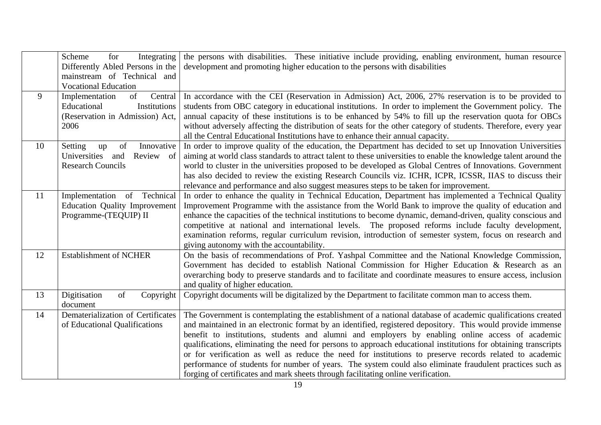|    | Scheme<br>Integrating<br>for<br>Differently Abled Persons in the                                          | the persons with disabilities. These initiative include providing, enabling environment, human resource<br>development and promoting higher education to the persons with disabilities                                                                                                                                                                                                                                                                                                                                                                                                                                                                                                                                                                        |
|----|-----------------------------------------------------------------------------------------------------------|---------------------------------------------------------------------------------------------------------------------------------------------------------------------------------------------------------------------------------------------------------------------------------------------------------------------------------------------------------------------------------------------------------------------------------------------------------------------------------------------------------------------------------------------------------------------------------------------------------------------------------------------------------------------------------------------------------------------------------------------------------------|
|    | mainstream of Technical and<br><b>Vocational Education</b>                                                |                                                                                                                                                                                                                                                                                                                                                                                                                                                                                                                                                                                                                                                                                                                                                               |
| 9  | Implementation<br>of<br>Central<br>Educational<br>Institutions<br>(Reservation in Admission) Act,<br>2006 | In accordance with the CEI (Reservation in Admission) Act, 2006, 27% reservation is to be provided to<br>students from OBC category in educational institutions. In order to implement the Government policy. The<br>annual capacity of these institutions is to be enhanced by 54% to fill up the reservation quota for OBCs<br>without adversely affecting the distribution of seats for the other category of students. Therefore, every year<br>all the Central Educational Institutions have to enhance their annual capacity.                                                                                                                                                                                                                           |
| 10 | Setting<br>of<br>Innovative<br>up<br>Universities<br>Review of<br>and<br><b>Research Councils</b>         | In order to improve quality of the education, the Department has decided to set up Innovation Universities<br>aiming at world class standards to attract talent to these universities to enable the knowledge talent around the<br>world to cluster in the universities proposed to be developed as Global Centres of Innovations. Government<br>has also decided to review the existing Research Councils viz. ICHR, ICPR, ICSSR, IIAS to discuss their<br>relevance and performance and also suggest measures steps to be taken for improvement.                                                                                                                                                                                                            |
| 11 | Implementation of Technical<br><b>Education Quality Improvement</b><br>Programme-(TEQUIP) II              | In order to enhance the quality in Technical Education, Department has implemented a Technical Quality<br>Improvement Programme with the assistance from the World Bank to improve the quality of education and<br>enhance the capacities of the technical institutions to become dynamic, demand-driven, quality conscious and<br>competitive at national and international levels. The proposed reforms include faculty development,<br>examination reforms, regular curriculum revision, introduction of semester system, focus on research and<br>giving autonomy with the accountability.                                                                                                                                                                |
| 12 | <b>Establishment of NCHER</b>                                                                             | On the basis of recommendations of Prof. Yashpal Committee and the National Knowledge Commission,<br>Government has decided to establish National Commission for Higher Education & Research as an<br>overarching body to preserve standards and to facilitate and coordinate measures to ensure access, inclusion<br>and quality of higher education.                                                                                                                                                                                                                                                                                                                                                                                                        |
| 13 | Digitisation<br>of<br>Copyright<br>document                                                               | Copyright documents will be digitalized by the Department to facilitate common man to access them.                                                                                                                                                                                                                                                                                                                                                                                                                                                                                                                                                                                                                                                            |
| 14 | Dematerialization of Certificates<br>of Educational Qualifications                                        | The Government is contemplating the establishment of a national database of academic qualifications created<br>and maintained in an electronic format by an identified, registered depository. This would provide immense<br>benefit to institutions, students and alumni and employers by enabling online access of academic<br>qualifications, eliminating the need for persons to approach educational institutions for obtaining transcripts<br>or for verification as well as reduce the need for institutions to preserve records related to academic<br>performance of students for number of years. The system could also eliminate fraudulent practices such as<br>forging of certificates and mark sheets through facilitating online verification. |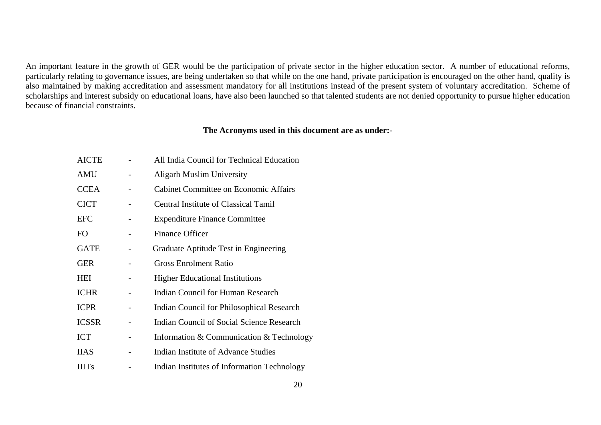An important feature in the growth of GER would be the participation of private sector in the higher education sector. A number of educational reforms, particularly relating to governance issues, are being undertaken so that while on the one hand, private participation is encouraged on the other hand, quality is also maintained by making accreditation and assessment mandatory for all institutions instead of the present system of voluntary accreditation. Scheme of scholarships and interest subsidy on educational loans, have also been launched so that talented students are not denied opportunity to pursue higher education because of financial constraints.

### **The Acronyms used in this document are as under:-**

| <b>AICTE</b> | All India Council for Technical Education    |
|--------------|----------------------------------------------|
| AMU          | <b>Aligarh Muslim University</b>             |
| <b>CCEA</b>  | <b>Cabinet Committee on Economic Affairs</b> |
| <b>CICT</b>  | <b>Central Institute of Classical Tamil</b>  |
| EFC          | <b>Expenditure Finance Committee</b>         |
| FO           | <b>Finance Officer</b>                       |
| <b>GATE</b>  | Graduate Aptitude Test in Engineering        |
| <b>GER</b>   | <b>Gross Enrolment Ratio</b>                 |
| HEI          | <b>Higher Educational Institutions</b>       |
| <b>ICHR</b>  | <b>Indian Council for Human Research</b>     |
| <b>ICPR</b>  | Indian Council for Philosophical Research    |
| ICSSR        | Indian Council of Social Science Research    |
| <b>ICT</b>   | Information & Communication & Technology     |
| <b>IIAS</b>  | Indian Institute of Advance Studies          |
| <b>IIITs</b> | Indian Institutes of Information Technology  |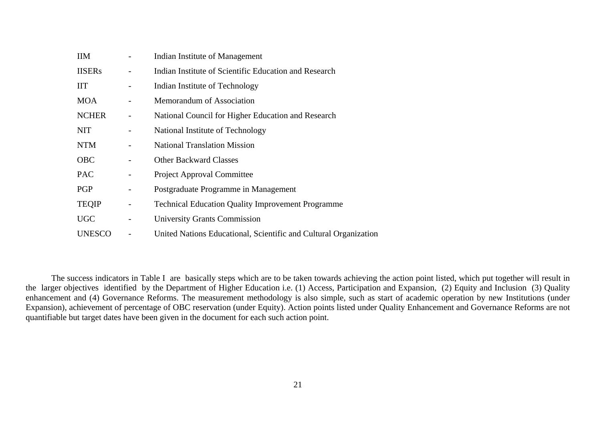| <b>IIM</b>    |                              | Indian Institute of Management                                   |
|---------------|------------------------------|------------------------------------------------------------------|
| <b>IISERs</b> | $\overline{a}$               | Indian Institute of Scientific Education and Research            |
| <b>IIT</b>    | $\overline{\phantom{0}}$     | Indian Institute of Technology                                   |
| <b>MOA</b>    | -                            | Memorandum of Association                                        |
| <b>NCHER</b>  | $\qquad \qquad -$            | National Council for Higher Education and Research               |
| <b>NIT</b>    | $\overline{\phantom{0}}$     | National Institute of Technology                                 |
| <b>NTM</b>    | $\qquad \qquad -$            | <b>National Translation Mission</b>                              |
| <b>OBC</b>    | -                            | <b>Other Backward Classes</b>                                    |
| <b>PAC</b>    | $\overline{\phantom{0}}$     | Project Approval Committee                                       |
| PGP           | $\qquad \qquad \blacksquare$ | Postgraduate Programme in Management                             |
| <b>TEQIP</b>  | $\overline{\phantom{0}}$     | <b>Technical Education Quality Improvement Programme</b>         |
| <b>UGC</b>    | $\overline{\phantom{a}}$     | <b>University Grants Commission</b>                              |
| <b>UNESCO</b> |                              | United Nations Educational, Scientific and Cultural Organization |

The success indicators in Table I are basically steps which are to be taken towards achieving the action point listed, which put together will result in the larger objectives identified by the Department of Higher Education i.e. (1) Access, Participation and Expansion, (2) Equity and Inclusion (3) Quality enhancement and (4) Governance Reforms. The measurement methodology is also simple, such as start of academic operation by new Institutions (under Expansion), achievement of percentage of OBC reservation (under Equity). Action points listed under Quality Enhancement and Governance Reforms are not quantifiable but target dates have been given in the document for each such action point.